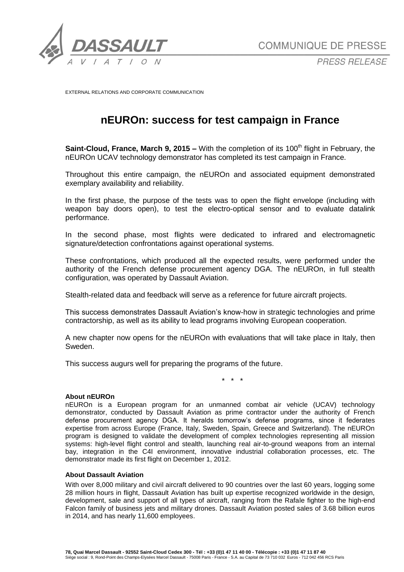

*PRESS RELEASE*

EXTERNAL RELATIONS AND CORPORATE COMMUNICATION

# **nEUROn: success for test campaign in France**

**Saint-Cloud, France, March 9, 2015 –** With the completion of its 100<sup>th</sup> flight in February, the nEUROn UCAV technology demonstrator has completed its test campaign in France.

Throughout this entire campaign, the nEUROn and associated equipment demonstrated exemplary availability and reliability.

In the first phase, the purpose of the tests was to open the flight envelope (including with weapon bay doors open), to test the electro-optical sensor and to evaluate datalink performance.

In the second phase, most flights were dedicated to infrared and electromagnetic signature/detection confrontations against operational systems.

These confrontations, which produced all the expected results, were performed under the authority of the French defense procurement agency DGA. The nEUROn, in full stealth configuration, was operated by Dassault Aviation.

Stealth-related data and feedback will serve as a reference for future aircraft projects.

This success demonstrates Dassault Aviation's know-how in strategic technologies and prime contractorship, as well as its ability to lead programs involving European cooperation.

A new chapter now opens for the nEUROn with evaluations that will take place in Italy, then Sweden.

This success augurs well for preparing the programs of the future.

\* \* \*

#### **About nEUROn**

nEUROn is a European program for an unmanned combat air vehicle (UCAV) technology demonstrator, conducted by Dassault Aviation as prime contractor under the authority of French defense procurement agency DGA. It heralds tomorrow's defense programs, since it federates expertise from across Europe (France, Italy, Sweden, Spain, Greece and Switzerland). The nEUROn program is designed to validate the development of complex technologies representing all mission systems: high-level flight control and stealth, launching real air-to-ground weapons from an internal bay, integration in the C4I environment, innovative industrial collaboration processes, etc. The demonstrator made its first flight on December 1, 2012.

#### **About Dassault Aviation**

With over 8,000 military and civil aircraft delivered to 90 countries over the last 60 years, logging some 28 million hours in flight, Dassault Aviation has built up expertise recognized worldwide in the design, development, sale and support of all types of aircraft, ranging from the Rafale fighter to the high-end Falcon family of business jets and military drones. Dassault Aviation posted sales of 3.68 billion euros in 2014, and has nearly 11,600 employees.